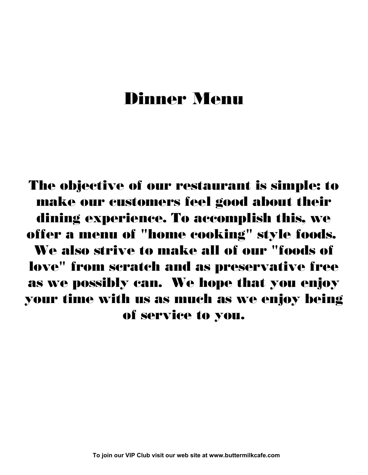# **Dinner Menu**

**The objective of our restaurant is simple: to make our customers feel good about their dining experience. To accomplish this, we offer a menu of "home cooking" style foods. We also strive to make all of our "foods of love" from scratch and as preservative free as we possibly can. We hope that you enjoy your time with us as much as we enjoy being of service to you.**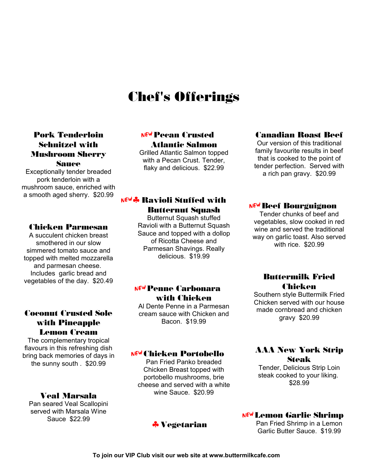# **Chef's Offerings**

#### **Pork Tenderloin Schnitzel with Mushroom Sherry Sauce**

Exceptionally tender breaded pork tenderloin with a mushroom sauce, enriched with a smooth aged sherry. \$20.99

#### **Chicken Parmesan**

A succulent chicken breast smothered in our slow simmered tomato sauce and topped with melted mozzarella and parmesan cheese. Includes garlic bread and **Example 3** Series of the day. \$20.49 **Buttermilk Fried** 

#### **Coconut Crusted Sole with Pineapple Lemon Cream**

The complementary tropical flavours in this refreshing dish bring back memories of days in the sunny south . \$20.99

Pan seared Veal Scallopini served with Marsala Wine

# **Pecan Crusted** C **Atlantic Salmon**

Grilled Atlantic Salmon topped with a Pecan Crust. Tender, flaky and delicious. \$22.99

# **Ravioli Stuffed with** C1 **Butternut Squash**

Butternut Squash stuffed Ravioli with a Butternut Squash Sauce and topped with a dollop of Ricotta Cheese and Parmesan Shavings. Really delicious. \$19.99

# <sup>NEW</sup> Penne Carbonara **with Chicken**

Al Dente Penne in a Parmesan cream sauce with Chicken and Bacon. \$19.99

#### C**Chicken Portobello**

Pan Fried Panko breaded Chicken Breast topped with portobello mushrooms, brie cheese and served with a white wine Sauce. \$20.99 **Veal Marsala**

# 1 **Vegetarian**

#### **Canadian Roast Beef**

Our version of this traditional family favourite results in beef that is cooked to the point of tender perfection. Served with a rich pan gravy. \$20.99

#### C**Beef Bourguignon**

Tender chunks of beef and vegetables, slow cooked in red wine and served the traditional way on garlic toast. Also served with rice. \$20.99

# **Chicken**

Southern style Buttermilk Fried Chicken served with our house made cornbread and chicken gravy \$20.99

#### **AAA New York Strip Steak**

Tender, Delicious Strip Loin steak cooked to your liking. \$28.99

### Sauce \$22.99<br>Sauce \$22.99

Pan Fried Shrimp in a Lemon Garlic Butter Sauce. \$19.99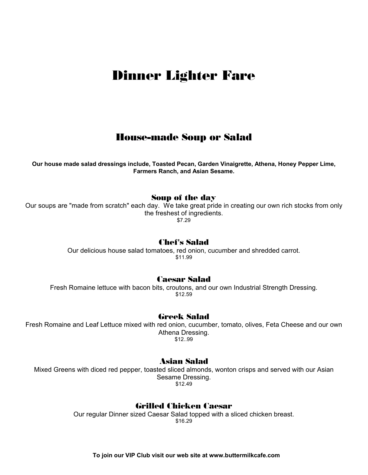# **Dinner Lighter Fare**

### **House-made Soup or Salad**

**Our house made salad dressings include, Toasted Pecan, Garden Vinaigrette, Athena, Honey Pepper Lime, Farmers Ranch, and Asian Sesame.**

#### **Soup of the day**

Our soups are "made from scratch" each day. We take great pride in creating our own rich stocks from only the freshest of ingredients. \$7.29

#### **Chef's Salad**

Our delicious house salad tomatoes, red onion, cucumber and shredded carrot. \$11.99

#### **Caesar Salad**

Fresh Romaine lettuce with bacon bits, croutons, and our own Industrial Strength Dressing. \$12.59

#### **Greek Salad**

Fresh Romaine and Leaf Lettuce mixed with red onion, cucumber, tomato, olives, Feta Cheese and our own Athena Dressing. \$12..99

#### **Asian Salad**

Mixed Greens with diced red pepper, toasted sliced almonds, wonton crisps and served with our Asian Sesame Dressing. \$12.49

#### **Grilled Chicken Caesar**

Our regular Dinner sized Caesar Salad topped with a sliced chicken breast. \$16.29

 **To join our VIP Club visit our web site at www.buttermilkcafe.com**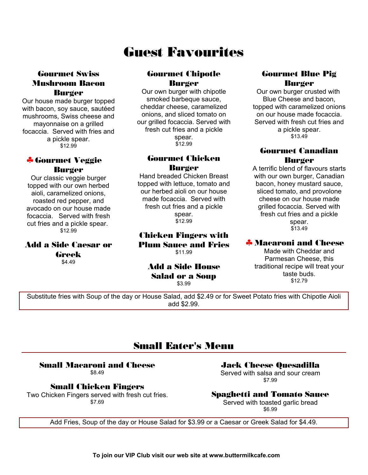# **Guest Favourites**

#### **Gourmet Swiss Mushroom Bacon Burger**

Our house made burger topped with bacon, soy sauce, sautéed mushrooms, Swiss cheese and mayonnaise on a grilled focaccia. Served with fries and a pickle spear. \$12.99

# *&* **Gourmet Veggie Burger**

Our classic veggie burger topped with our own herbed aioli, caramelized onions, roasted red pepper, and avocado on our house made focaccia. Served with fresh cut fries and a pickle spear.<br>\$12.99

# **Add a Side Caesar or Greek**

### **Gourmet Chipotle Burger**

Our own burger with chipotle smoked barbeque sauce, cheddar cheese, caramelized onions, and sliced tomato on our grilled focaccia. Served with fresh cut fries and a pickle spear. \$12.99

#### **Gourmet Chicken Burger**

Hand breaded Chicken Breast topped with lettuce, tomato and our herbed aioli on our house made focaccia. Served with fresh cut fries and a pickle spear. \$12.99

#### \$12.99 **Chicken Fingers with Plum Sauce and Fries** \$11.99

# \$4.49 **Add a Side House Salad or a Soup**

\$3.99

### **Gourmet Blue Pig Burger**

Our own burger crusted with Blue Cheese and bacon, topped with caramelized onions on our house made focaccia. Served with fresh cut fries and a pickle spear. \$13.49

#### **Gourmet Canadian Burger**

A terrific blend of flavours starts with our own burger, Canadian bacon, honey mustard sauce, sliced tomato, and provolone cheese on our house made grilled focaccia. Served with fresh cut fries and a pickle spear. \$13.49

#### 1**Macaroni and Cheese**

Made with Cheddar and Parmesan Cheese, this traditional recipe will treat your taste buds. \$12.79

Substitute fries with Soup of the day or House Salad, add \$2.49 or for Sweet Potato fries with Chipotle Aioli add \$2.99.

# **Small Eater's Menu**

### **Small Macaroni and Cheese**

\$8.49

#### **Small Chicken Fingers**

Two Chicken Fingers served with fresh cut fries. \$7.69

**Jack Cheese Quesadilla**

Served with salsa and sour cream \$7.99

#### **Spaghetti and Tomato Sauce**

Served with toasted garlic bread \$6.99

Add Fries, Soup of the day or House Salad for \$3.99 or a Caesar or Greek Salad for \$4.49.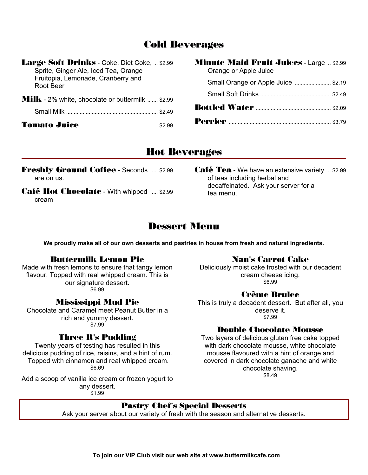### **Cold Beverages**

| Large Soft Drinks - Coke, Diet Coke,  \$2.99<br>Sprite, Ginger Ale, Iced Tea, Orange | <b>Minute Maid Fruit Juices - Large  \$2.99</b><br>Orange or Apple Juice |  |
|--------------------------------------------------------------------------------------|--------------------------------------------------------------------------|--|
| Fruitopia, Lemonade, Cranberry and<br>Root Beer                                      | Small Orange or Apple Juice  \$2.19                                      |  |
| <b>Milk</b> - 2% white, chocolate or buttermilk  \$2.99                              |                                                                          |  |
|                                                                                      |                                                                          |  |
|                                                                                      |                                                                          |  |

### **Hot Beverages**

**Freshly Ground Coffee - Seconds ..... \$2.99** are on us.

- **Café Hot Chocolate** With whipped ..... \$2.99 cream
- ..... \$2.99 **Café Tea** We have an extensive variety ... \$2.99 of teas including herbal and decaffeinated. Ask your server for a tea menu.

# **Dessert Menu**

**We proudly make all of our own desserts and pastries in house from fresh and natural ingredients.**

#### **Buttermilk Lemon Pie**

Made with fresh lemons to ensure that tangy lemon flavour. Topped with real whipped cream. This is our signature dessert. \$6.99

#### **Mississippi Mud Pie**

Chocolate and Caramel meet Peanut Butter in a rich and yummy dessert. \$7.99

#### **Three R's Pudding**

Twenty years of testing has resulted in this delicious pudding of rice, raisins, and a hint of rum. Topped with cinnamon and real whipped cream. \$6.69

Add a scoop of vanilla ice cream or frozen yogurt to any dessert. \$1.99

**Nan's Carrot Cake**

Deliciously moist cake frosted with our decadent cream cheese icing. \$6.99

#### **Crème Brulee**

This is truly a decadent dessert. But after all, you deserve it. \$7.99

#### **Double Chocolate Mousse**

Two layers of delicious gluten free cake topped with dark chocolate mousse, white chocolate mousse flavoured with a hint of orange and covered in dark chocolate ganache and white chocolate shaving. \$8.49

#### **Pastry Chef's Special Desserts**

Ask your server about our variety of fresh with the season and alternative desserts.